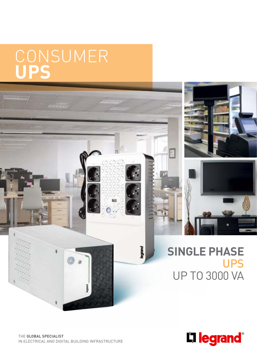## **CONSUMER UPS**



A.

bgrand



## **SINGLE PHASE** UPS UP TO 3000 VA

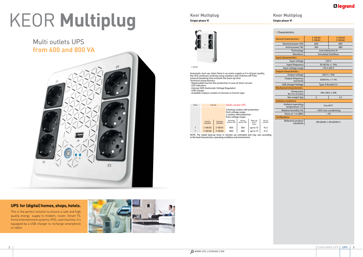

#### **Characteristics**

Automatic start-up: when there is no mains supply or it is of poor quality, the UPS continues working using a battery and switches off if the network breaking time exceeds the back-up time.

- Technical characteristics - Replaceable fuse for fine protection in case of short-circuits
- LED indicators - Internal AVR (Automatic Voltage Regulator)
- USB Charger
- Available outputs sockets in German or French type

| Pack |                    | Cat. No.           | <b>Multi-socket UPS</b>                                                                                     |                     |                                         |                   |  |
|------|--------------------|--------------------|-------------------------------------------------------------------------------------------------------------|---------------------|-----------------------------------------|-------------------|--|
|      |                    |                    | 4 backup sockets with protection<br>from voltage surges<br>2 sockets with protection<br>from voltage surges |                     |                                         |                   |  |
|      | French<br>standard | German<br>standard | Nominal<br>power (VA)                                                                                       | Active<br>power (W) | Back-up<br>time <sup>(1)</sup><br>(min) | No. of<br>sockets |  |
|      | 3 100 83           | 3 100 81           | 600                                                                                                         | 360                 | up to $15$                              | $4 + 2$           |  |
|      | 3 100 84           | 3 100 82           | 800                                                                                                         | 480                 | up to $15$                              | $4 + 2$           |  |

| <b>General characteristics</b>           | 3 100 83<br>3 100 81      | 3 100 84<br>3 100 82 |  |  |  |  |
|------------------------------------------|---------------------------|----------------------|--|--|--|--|
| Nominal power (VA)                       | 600                       | 800                  |  |  |  |  |
| Active power (W)                         | 360                       | 480                  |  |  |  |  |
| Technology                               | Line Interactive VI       |                      |  |  |  |  |
| Waveform                                 | <b>Simulated SineWave</b> |                      |  |  |  |  |
| Input characteristics                    |                           |                      |  |  |  |  |
| Input voltage                            | 230 V                     |                      |  |  |  |  |
| Input frequency                          | 50-60 Hz +/- 5Hz          |                      |  |  |  |  |
| Input voltage range                      | 170 V-290 V               |                      |  |  |  |  |
| <b>Output characteristics</b>            |                           |                      |  |  |  |  |
| Output voltage                           | $230 V \pm 10\%$          |                      |  |  |  |  |
| Output frequency<br>(nominal)            | $50/60$ Hz +/-1 Hz        |                      |  |  |  |  |
| USB charger/Voltage                      | Type A female/5 V         |                      |  |  |  |  |
| <b>Mechanical characteristics</b>        |                           |                      |  |  |  |  |
| Dimensions<br>$W \times H \times D$ (mm) | 190 x 89.5 x 296          |                      |  |  |  |  |
| Net weight (kg)                          | 5                         | 5,5                  |  |  |  |  |
| <b>Ambient conditions</b>                |                           |                      |  |  |  |  |
| Ambient operating<br>temperature (°C)    | 0 to $40^{\circ}$ C       |                      |  |  |  |  |
| Relative humidity (%)                    | < 95% non-condensing      |                      |  |  |  |  |
| Noise at 1 m (dBA)                       | < 40                      |                      |  |  |  |  |
| Certifications                           |                           |                      |  |  |  |  |
| Reference product<br>standards           | EN 62040-1, EN 62040-2    |                      |  |  |  |  |

3 100 83

NOTE: The stated back-up times in minutes are estimated and may vary according to the load characteristics, operating conditions and environment.

# KEOR **Multiplug**

#### **UPS for (digital) homes, shops, hotels.**

This is the perfect solution to ensure a safe and high quality energy supply to modem, router, Smart TV, home entertainment systems, POS, cash machine. It's equipped by a USB charger to recharge smartphone or tablet.



### Multi outlets UPS **from 600 and 800 VA**

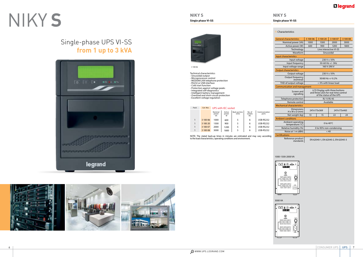#### **Characteristics**

**NIKY S Single phase VI-SS**



1000-1500-2000 VA

3000 VA





|                                                                                                                                              |           |                                                                                            |            |       |                    |                                     | <b>General characteristics</b>                                                                     | 3 100 06                   | 3 100 20 | 3 100 07 | 3 100 08 |
|----------------------------------------------------------------------------------------------------------------------------------------------|-----------|--------------------------------------------------------------------------------------------|------------|-------|--------------------|-------------------------------------|----------------------------------------------------------------------------------------------------|----------------------------|----------|----------|----------|
|                                                                                                                                              |           |                                                                                            |            |       | Nominal power (VA) | 1000                                | 1500                                                                                               | 2000                       | 3000     |          |          |
|                                                                                                                                              |           |                                                                                            |            |       |                    | Active power (W)                    | 600                                                                                                | 900                        | 1200     | 1800     |          |
|                                                                                                                                              |           |                                                                                            |            |       |                    | Technology                          | Line interactive VI-SS                                                                             |                            |          |          |          |
|                                                                                                                                              |           |                                                                                            |            |       |                    | Waveform                            | Sinusoidal                                                                                         |                            |          |          |          |
|                                                                                                                                              |           |                                                                                            |            |       |                    | Input characteristics               |                                                                                                    |                            |          |          |          |
|                                                                                                                                              |           |                                                                                            |            |       |                    | Input voltage                       | $230 V \pm 10\%$                                                                                   |                            |          |          |          |
|                                                                                                                                              |           |                                                                                            |            |       |                    | Input frequency                     | 50-60 Hz +/- $3$ Hz                                                                                |                            |          |          |          |
| 3 100 06                                                                                                                                     |           |                                                                                            |            |       |                    | Input voltage range                 | 160 V-290 V                                                                                        |                            |          |          |          |
|                                                                                                                                              |           |                                                                                            |            |       |                    | <b>Output characteristics</b>       |                                                                                                    |                            |          |          |          |
| <b>Technical characteristics</b>                                                                                                             |           |                                                                                            |            |       |                    | Output voltage                      | $230 V \pm 10\%$                                                                                   |                            |          |          |          |
| - Sinusoidal output<br>Microprocessor control<br>MODEM/LAN telephone protection                                                              |           |                                                                                            |            |       |                    | Output frequency<br>(nominal)       | 50/60 Hz +/-0.2%                                                                                   |                            |          |          |          |
| RS232 or USB interface                                                                                                                       |           |                                                                                            |            |       |                    | THD of output voltage               | < 3% with linear load                                                                              |                            |          |          |          |
| Cold start function                                                                                                                          |           |                                                                                            |            |       |                    | <b>Communication and management</b> |                                                                                                    |                            |          |          |          |
| - Protection against voltage peaks<br>Integrated self-diagnostics<br>Intelligent battery management<br>Overload and short-circuit protection |           |                                                                                            |            |       |                    | Screen and<br>signalling            | LCD Display with three buttons<br>and three LEDs for real-time control<br>of the status of the UPS |                            |          |          |          |
| <b>Excellent voltage regulation</b>                                                                                                          |           |                                                                                            |            |       |                    | Telephone protection                | RJ 11/RJ 45                                                                                        |                            |          |          |          |
|                                                                                                                                              |           |                                                                                            |            |       |                    | Remote control                      | Available                                                                                          |                            |          |          |          |
|                                                                                                                                              |           |                                                                                            |            |       |                    |                                     | <b>Mechanical characteristics</b>                                                                  |                            |          |          |          |
| Pack                                                                                                                                         | Cat. Nos. | <b>UPS with IEC socket</b><br>Nominal<br>Active<br>Back-up time<br>No. of<br>Communication |            |       |                    |                                     | <b>Dimensions</b><br>$H \times W \times D$ (mm)                                                    | 247x173x369<br>247x173x465 |          |          |          |
|                                                                                                                                              |           | power<br>VA                                                                                | power<br>W | (min) | sockets<br>IEC     | ports                               | Net weight (kg)                                                                                    | 13                         | 15       | 22       | 24       |
|                                                                                                                                              |           |                                                                                            |            |       |                    |                                     | <b>Ambient conditions</b>                                                                          |                            |          |          |          |
|                                                                                                                                              | 3 100 06  | 1000                                                                                       | 600        | 5     | 6                  | USB-RS232                           | Ambient operating                                                                                  |                            |          |          |          |
|                                                                                                                                              | 3 100 20  | 1500                                                                                       | 900        | 5     | 6                  | USB-RS232                           | temperature (°C)                                                                                   | 0 to $40^{\circ}$ C        |          |          |          |
|                                                                                                                                              | 3 100 07  | 2000                                                                                       | 1200       | 5     | 6                  | <b>USB-RS232</b>                    | Relative humidity (%)                                                                              | 0 to 95% non-condensing    |          |          |          |
| $\mathbf{1}$                                                                                                                                 | 3 100 08  | 3000                                                                                       | 1800       | 5     | 6                  | <b>USB-RS232</b>                    | Noise at 1 m (dBA)                                                                                 | < 40                       |          |          |          |
| NOTE: The stated back-up times in minutes are estimated and may vary according                                                               |           |                                                                                            |            |       | Certifications     |                                     |                                                                                                    |                            |          |          |          |
| to the load characteristics, operating conditions and environment.                                                                           |           |                                                                                            |            |       |                    | Reference product<br>standards      | EN 62040-1, EN 62040-2, EN 62040-3                                                                 |                            |          |          |          |

#### Pack Cat. Nos. UPS with IEC socket

## NIKY **S**

Single-phase UPS VI-SS **from 1 up to 3 kVA**